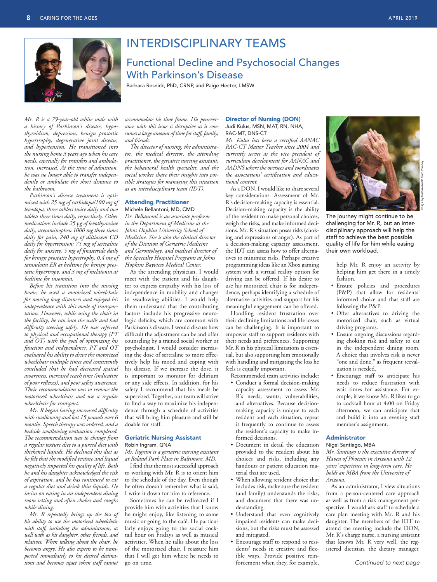

## INTERDISCIPLINARY TEAMS

## Functional Decline and Psychosocial Changes With Parkinson's Disease

Barbara Resnick, PhD, CRNP, and Paige Hector, LMSW

*Mr. R is a 79-year-old white male with a history of Parkinson's disease, hypothyroidism, depression, benign prostatic hypertrophy, degenerative joint disease, and hypertension. He transitioned into the nursing home 3 years ago when his care needs, especially for transfers and ambulation, increased. At the time of admission, he was no longer able to transfer independently or ambulate the short distance to the bathroom.*

*Parkinson's disease treatment is optimized with 25 mg of carbidopa/100 mg of levodopa, three tablets twice daily and two tablets three times daily, respectively. Other medications include 25* μ*g of levothyroxine daily, acetaminophen 1000 mg three times daily for pain, 240 mg of diltiazem CD daily for hypertension; 75 mg of sertraline daily for anxiety, 5 mg of finasteride daily for benign prostatic hypertrophy, 0.4 mg of tamsulosin ER at bedtime for benign prostatic hypertropy, and 3 mg of melatonin at bedtime for insomnia.*

*Before his transition into the nursing home, he used a motorized wheelchair for moving long distances and enjoyed his independence with this mode of transportation. However, while using the chair in the facility, he ran into the walls and had difficulty steering safely. He was referred to physical and occupational therapy (PT and OT) with the goal of optimizing his function and independence. PT and OT evaluated his ability to drive the motorized wheelchair multiple times and consistently concluded that he had decreased spatial awareness, increased reach time (indicative of poor reflexes), and poor safety awareness. Their recommendation was to remove the motorized wheelchair and use a regular wheelchair for transport.*

*Mr. R began having increased difficulty with swallowing and lost 15 pounds over 6 months. Speech therapy was ordered, and a bedside swallowing evaluation completed. The recommendation was to change from a regular texture diet to a pureed diet with thickened liquids. He declined this diet as he felt that the modified texture and liquid negatively impacted his quality of life. Both he and his daughter acknowledged the risk of aspiration, and he has continued to eat a regular diet and drink thin liquids. He insists on eating in an independent dining room setting and often chokes and coughs while dining.*

*Mr. R repeatedly brings up the loss of his ability to use the motorized wheelchair with staff, including the administrator, as well with as his daughter, other friends, and relatives. When talking about the chair, he becomes angry. He also expects to be transported immediately to his desired destinations and becomes upset when staff cannot*  *accommodate his time frame. His perseverance with this issue is disruptive as it consumes a large amount of time for staff, family, and friends.*

*The director of nursing, the administrator, the medical director, the attending practitioner, the geriatric nursing assistant, the behavioral health specialist, and the social worker share their insights into possible strategies for managing this situation as an interdisciplinary team (IDT)*.

## Attending Practitioner

Michele Bellantoni, MD, CMD *Dr. Bellantoni is an associate professor in the Department of Medicine at the Johns Hopkins University School of Medicine. She is also the clinical director of the Division of Geriatric Medicine and Gerontology, and medical director of the Specialty Hospital Programs at Johns Hopkins Bayview Medical Center.*

As the attending physician, I would meet with the patient and his daughter to express empathy with his loss of independence in mobility and changes in swallowing abilities. I would help them understand that the contributing factors include his progressive neurologic deficits, which are common with Parkinson's disease. I would discuss how difficult the adjustment can be and offer counseling by a trained social worker or psychologist. I would consider increasing the dose of sertraline to more effectively help his mood and coping with his disease. If we increase the dose, it is important to monitor for delirium or any side effects. In addition, for his safety I recommend that his meals be supervised. Together, our team will strive to find a way to maximize his independence through a schedule of activities that will bring him pleasure and still be doable for staff.

#### Geriatric Nursing Assistant Robin Ingram, GNA

*Ms. Ingram is a geriatric nursing assistant at Roland Park Place in Baltimore, MD.*

I find that the most successful approach to working with Mr. R is to orient him to the schedule of the day. Even though he often doesn't remember what is said, I write it down for him to reference.

Sometimes he can be redirected if I provide him with activities that I know he might enjoy, like listening to some music or going to the café. He particularly enjoys going to the social cocktail hour on Fridays as well as musical activities. When he talks about the loss of the motorized chair, I reassure him that I will get him where he needs to go on time.

#### Director of Nursing (DON) Judi Kulus, MSN, MAT, RN, NHA, RAC-MT, DNS-CT

*Ms. Kulus has been a certified AANAC RAC-CT Master Teacher since 2004 and currently serves as the vice president of curriculum development for AANAC and AADNS where she oversees and coordinates the associations' certification and educational content.*

As a DON, I would like to share several key considerations. Assessment of Mr. R's decision-making capacity is essential. Decision-making capacity is the ability of the resident to make personal choices, weigh the risks, and make informed decisions. Mr. R's situation poses risks (choking and expressions of anger). As part of a decision-making capacity assessment, the IDT can assess how to offer alternatives to minimize risks. Perhaps creative programming ideas like an Xbox gaming system with a virtual reality option for driving can be offered. If his desire to use his motorized chair is for independence, perhaps identifying a schedule of alternative activities and support for his meaningful engagement can be offered.

Handling resident frustration over their declining limitations and life losses can be challenging. It is important to empower staff to support residents with their needs and preferences. Supporting Mr. R in his physical limitations is essential, but also supporting him emotionally with handling and mitigating the loss he feels is equally important.

Recommended team activities include:

- Conduct a formal decision-making capacity assessment to assess Mr. R's needs, wants, vulnerabilities, and alternatives. Because decisionmaking capacity is unique to each resident and each situation, repeat it frequently to continue to assess the resident's capacity to make informed decisions.
- Document in detail the education provided to the resident about his choices and risks, including any handouts or patient education material that are used.
- When allowing resident choice that includes risk, make sure the resident (and family) understands the risks, and document that there was understanding.
- Understand that even cognitively impaired residents can make decisions, but the risks must be assessed and mitigated.
- Encourage staff to respond to residents' needs in creative and flexible ways. Provide positive reinforcement when they, for example,



Image by truthseeker08 from Pixabay

The journey might continue to be challenging for Mr. R, but an interdisciplinary approach will help the staff to achieve the best possible quality of life for him while easing their own workload.

> help Mr. R enjoy an activity by helping him get there in a timely fashion.

- Ensure policies and procedures (P&P) that allow for residents' informed choice and that staff are following the P&P.
- Offer alternatives to driving the motorized chair, such as virtual driving programs.
- Ensure ongoing discussions regarding choking risk and safety to eat in the independent dining room. A choice that involves risk is never "one and done," as frequent reevaluation is needed.
- Encourage staff to anticipate his needs to reduce frustration with wait times for assistance. For example, if we know Mr. R likes to go to cocktail hour at 4:00 on Friday afternoon, we can anticipate that and build it into an evening staff member's assignment.

#### Administrator

Nigel Santiago, MBA *Mr. Santiago is the executive director of Haven of Phoenix in Arizona with 12 years' experience in long-term care. He holds an MBA from the University of Arizona.*

As an administrator, I view situations from a person-centered care approach as well as from a risk management perspective. I would ask staff to schedule a care plan meeting with Mr. R and his daughter. The members of the IDT to attend the meeting include the DON, Mr. R's charge nurse, a nursing assistant that knows Mr. R very well, the registered dietitian, the dietary manager,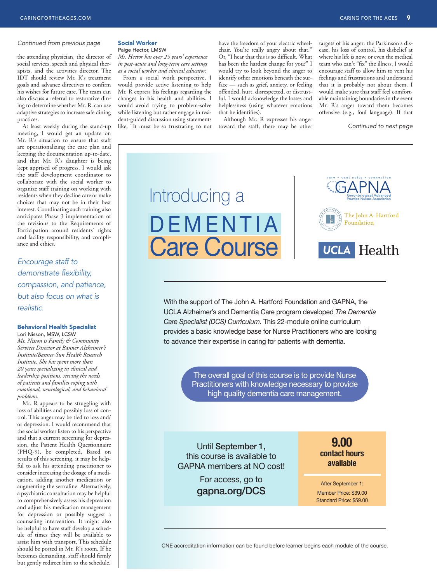#### *Continued from previous page*

the attending physician, the director of social services, speech and physical therapists, and the activities director. The IDT should review Mr. R's treatment goals and advance directives to confirm his wishes for future care. The team can also discuss a referral to restorative dining to determine whether Mr. R. can use adaptive strategies to increase safe dining practices.

At least weekly during the stand-up meeting, I would get an update on Mr. R's situation to ensure that staff are operationalizing the care plan and keeping the documentation up-to-date, and that Mr. R's daughter is being kept apprised of progress. I would ask the staff development coordinator to collaborate with the social worker to organize staff training on working with residents when they decline care or make choices that may not be in their best interest. Coordinating such training also anticipates Phase 3 implementation of the revisions to the Requirements of Participation around residents' rights and facility responsibility, and compliance and ethics.

## *Encourage staff to demonstrate flexibility, compassion, and patience, but also focus on what is realistic.*

#### Behavioral Health Specialist

Lori Nisson, MSW, LCSW *Ms. Nisson is Family & Community Services Director at Banner Alzheimer's Institute/Banner Sun Health Research Institute. She has spent more than 20 years specializing in clinical and leadership positions, serving the needs of patients and families coping with emotional, neurological, and behavioral problems.*

Mr. R appears to be struggling with loss of abilities and possibly loss of control. This anger may be tied to loss and/ or depression. I would recommend that the social worker listen to his perspective and that a current screening for depression, the Patient Health Questionnaire (PHQ-9), be completed. Based on results of this screening, it may be helpful to ask his attending practitioner to consider increasing the dosage of a medication, adding another medication or augmenting the sertraline. Alternatively, a psychiatric consultation may be helpful to comprehensively assess his depression and adjust his medication management for depression or possibly suggest a counseling intervention. It might also be helpful to have staff develop a schedule of times they will be available to assist him with transport. This schedule should be posted in Mr. R's room. If he becomes demanding, staff should firmly but gently redirect him to the schedule.

#### Social Worker Paige Hector, LMSW

*Ms. Hector has over 25 years' experience in post-acute and long-term care settings as a social worker and clinical educator.*

From a social work perspective, I would provide active listening to help Mr. R express his feelings regarding the changes in his health and abilities. I would avoid trying to problem-solve while listening but rather engage in resident-guided discussion using statements like, "It must be so frustrating to not

have the freedom of your electric wheelchair. You're really angry about that." Or, "I hear that this is so difficult. What has been the hardest change for you?" I would try to look beyond the anger to identify other emotions beneath the surface — such as grief, anxiety, or feeling offended, hurt, disrespected, or distrustful. I would acknowledge the losses and helplessness (using whatever emotions that he identifies).

Although Mr. R expresses his anger toward the staff, there may be other

targets of his anger: the Parkinson's disease, his loss of control, his disbelief at where his life is now, or even the medical team who can't "fix" the illness. I would encourage staff to allow him to vent his feelings and frustrations and understand that it is probably not about them. I would make sure that staff feel comfortable maintaining boundaries in the event Mr. R's anger toward them becomes offensive (e.g., foul language). If that

*Continued to next page*



With the support of The John A. Hartford Foundation and GAPNA, the UCLA Alzheimer's and Dementia Care program developed *The Dementia Care Specialist (DCS) Curriculum.* This 22-module online curriculum provides a basic knowledge base for Nurse Practitioners who are looking to advance their expertise in caring for patients with dementia.

> The overall goal of this course is to provide Nurse Practitioners with knowledge necessary to provide high quality dementia care management.

Until September 1, this course is available to GAPNA members at NO cost!

> For access, go to gapna.org/DCS

**9.00 contact hours available**

After September 1: Member Price: \$39.00 Standard Price: \$59.00

CNE accreditation information can be found before learner begins each module of the course.